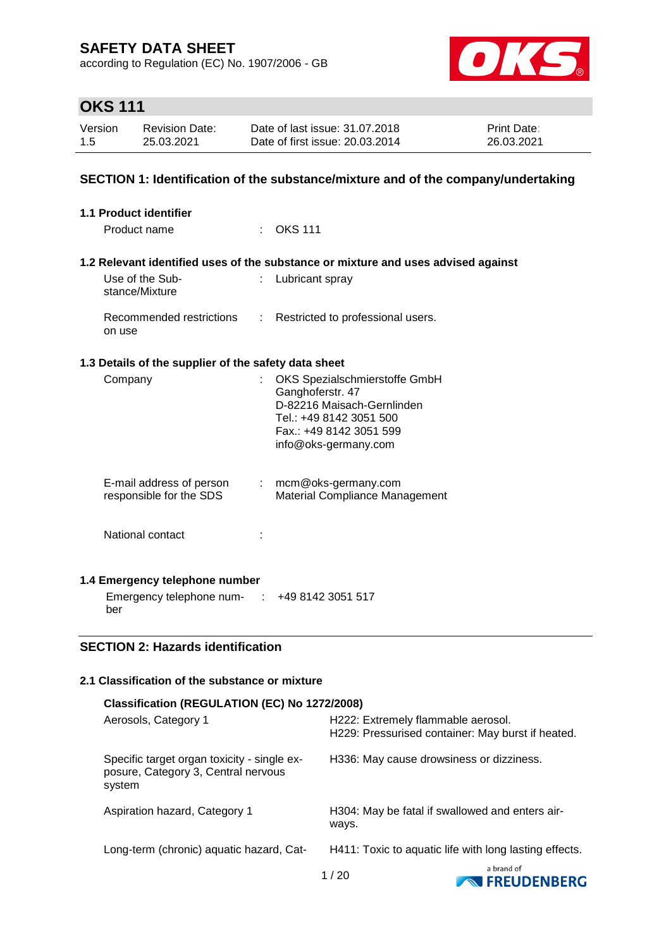according to Regulation (EC) No. 1907/2006 - GB



# **OKS 111**

| Version | <b>Revision Date:</b> | Date of last issue: 31.07.2018  | <b>Print Date:</b> |
|---------|-----------------------|---------------------------------|--------------------|
| 1.5     | 25.03.2021            | Date of first issue: 20.03.2014 | 26.03.2021         |

## **SECTION 1: Identification of the substance/mixture and of the company/undertaking**

| 1.1 Product identifier                               |    |                                                                                                                                                               |
|------------------------------------------------------|----|---------------------------------------------------------------------------------------------------------------------------------------------------------------|
| Product name                                         |    | <b>OKS 111</b>                                                                                                                                                |
|                                                      |    | 1.2 Relevant identified uses of the substance or mixture and uses advised against                                                                             |
| Use of the Sub-<br>stance/Mixture                    |    | Lubricant spray                                                                                                                                               |
| Recommended restrictions<br>on use                   | t. | Restricted to professional users.                                                                                                                             |
| 1.3 Details of the supplier of the safety data sheet |    |                                                                                                                                                               |
| Company                                              |    | OKS Spezialschmierstoffe GmbH<br>Ganghoferstr. 47<br>D-82216 Maisach-Gernlinden<br>Tel.: +49 8142 3051 500<br>Fax.: +49 8142 3051 599<br>info@oks-germany.com |
| E-mail address of person<br>responsible for the SDS  |    | $:$ mcm@oks-germany.com<br>Material Compliance Management                                                                                                     |
| National contact                                     |    |                                                                                                                                                               |
| 1.4 Emergency telephone number                       |    |                                                                                                                                                               |
| Emergency telephone num- : +49 8142 3051 517<br>ber  |    |                                                                                                                                                               |

## **SECTION 2: Hazards identification**

## **2.1 Classification of the substance or mixture**

| Classification (REGULATION (EC) No 1272/2008)                                                |                                                                                         |                                     |
|----------------------------------------------------------------------------------------------|-----------------------------------------------------------------------------------------|-------------------------------------|
| Aerosols, Category 1                                                                         | H222: Extremely flammable aerosol.<br>H229: Pressurised container: May burst if heated. |                                     |
| Specific target organ toxicity - single ex-<br>posure, Category 3, Central nervous<br>system | H336: May cause drowsiness or dizziness.                                                |                                     |
| Aspiration hazard, Category 1                                                                | H304: May be fatal if swallowed and enters air-<br>ways.                                |                                     |
| Long-term (chronic) aquatic hazard, Cat-                                                     | H411: Toxic to aquatic life with long lasting effects.                                  |                                     |
|                                                                                              | 1/20                                                                                    | a brand of<br><b>NO FREUDENBERG</b> |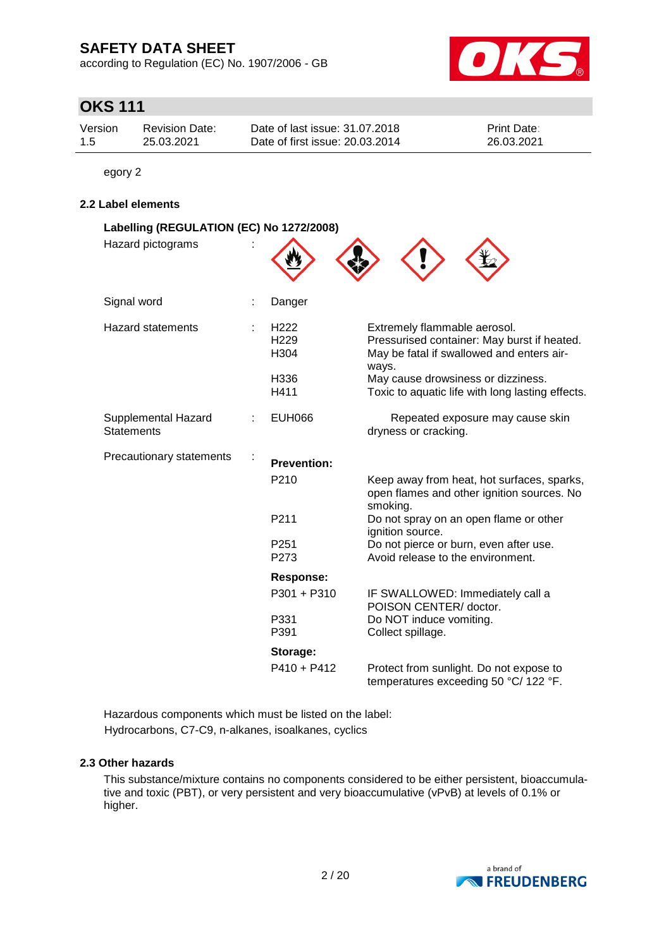according to Regulation (EC) No. 1907/2006 - GB



# **OKS 111**

| Version | <b>Revision Date:</b> | Date of last issue: 31.07.2018  | <b>Print Date:</b> |
|---------|-----------------------|---------------------------------|--------------------|
| 1.5     | 25.03.2021            | Date of first issue: 20.03.2014 | 26.03.2021         |

egory 2

## **2.2 Label elements**

| Labelling (REGULATION (EC) No 1272/2008) |                                                                          |                                                                                                                                                                                                                             |  |  |  |  |
|------------------------------------------|--------------------------------------------------------------------------|-----------------------------------------------------------------------------------------------------------------------------------------------------------------------------------------------------------------------------|--|--|--|--|
| Hazard pictograms                        |                                                                          |                                                                                                                                                                                                                             |  |  |  |  |
| Signal word                              | Danger                                                                   |                                                                                                                                                                                                                             |  |  |  |  |
| <b>Hazard statements</b>                 | H <sub>222</sub><br>H <sub>229</sub><br>H <sub>304</sub><br>H336<br>H411 | Extremely flammable aerosol.<br>Pressurised container: May burst if heated.<br>May be fatal if swallowed and enters air-<br>ways.<br>May cause drowsiness or dizziness.<br>Toxic to aquatic life with long lasting effects. |  |  |  |  |
| Supplemental Hazard<br><b>Statements</b> | <b>EUH066</b>                                                            | Repeated exposure may cause skin<br>dryness or cracking.                                                                                                                                                                    |  |  |  |  |
| Precautionary statements                 | <b>Prevention:</b>                                                       |                                                                                                                                                                                                                             |  |  |  |  |
|                                          | P210                                                                     | Keep away from heat, hot surfaces, sparks,<br>open flames and other ignition sources. No<br>smoking.                                                                                                                        |  |  |  |  |
|                                          | P211                                                                     | Do not spray on an open flame or other<br>ignition source.                                                                                                                                                                  |  |  |  |  |
|                                          | P <sub>251</sub><br>P273                                                 | Do not pierce or burn, even after use.<br>Avoid release to the environment.                                                                                                                                                 |  |  |  |  |
|                                          | <b>Response:</b>                                                         |                                                                                                                                                                                                                             |  |  |  |  |
|                                          | P301 + P310                                                              | IF SWALLOWED: Immediately call a<br>POISON CENTER/ doctor.                                                                                                                                                                  |  |  |  |  |
|                                          | P331<br>P391                                                             | Do NOT induce vomiting.<br>Collect spillage.                                                                                                                                                                                |  |  |  |  |
|                                          | Storage:                                                                 |                                                                                                                                                                                                                             |  |  |  |  |
|                                          | $P410 + P412$                                                            | Protect from sunlight. Do not expose to<br>temperatures exceeding 50 °C/ 122 °F.                                                                                                                                            |  |  |  |  |

Hazardous components which must be listed on the label: Hydrocarbons, C7-C9, n-alkanes, isoalkanes, cyclics

#### **2.3 Other hazards**

This substance/mixture contains no components considered to be either persistent, bioaccumulative and toxic (PBT), or very persistent and very bioaccumulative (vPvB) at levels of 0.1% or higher.

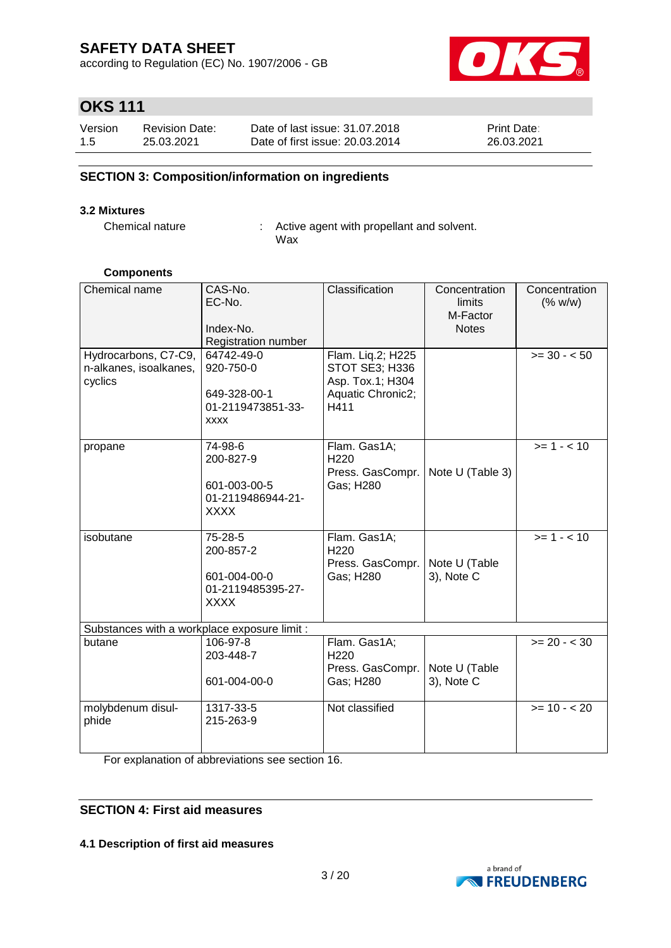according to Regulation (EC) No. 1907/2006 - GB



# **OKS 111**

| Version | <b>Revision Date:</b> | Date of last issue: 31.07.2018  | <b>Print Date:</b> |
|---------|-----------------------|---------------------------------|--------------------|
| 1.5     | 25.03.2021            | Date of first issue: 20.03.2014 | 26.03.2021         |

## **SECTION 3: Composition/information on ingredients**

#### **3.2 Mixtures**

Chemical nature : Active agent with propellant and solvent. Wax

### **Components**

| Chemical name                                | CAS-No.             | Classification                | Concentration               | Concentration  |
|----------------------------------------------|---------------------|-------------------------------|-----------------------------|----------------|
|                                              | EC-No.              |                               | limits                      | (% w/w)        |
|                                              |                     |                               | M-Factor                    |                |
|                                              | Index-No.           |                               | <b>Notes</b>                |                |
|                                              | Registration number |                               |                             |                |
| Hydrocarbons, C7-C9,                         | 64742-49-0          | Flam. Liq.2; H225             |                             | $>= 30 - 50$   |
| n-alkanes, isoalkanes,                       | 920-750-0           | STOT SE3; H336                |                             |                |
| cyclics                                      |                     | Asp. Tox.1; H304              |                             |                |
|                                              | 649-328-00-1        | Aquatic Chronic2;             |                             |                |
|                                              | 01-2119473851-33-   | H411                          |                             |                |
|                                              | <b>XXXX</b>         |                               |                             |                |
|                                              |                     |                               |                             |                |
| propane                                      | 74-98-6             | Flam. Gas1A;                  |                             | $>= 1 - < 10$  |
|                                              | 200-827-9           | H220                          |                             |                |
|                                              |                     | Press. GasCompr.              | Note U (Table 3)            |                |
|                                              | 601-003-00-5        | Gas; H280                     |                             |                |
|                                              | 01-2119486944-21-   |                               |                             |                |
|                                              | <b>XXXX</b>         |                               |                             |                |
|                                              |                     |                               |                             | $>= 1 - 10$    |
| isobutane                                    | 75-28-5             | Flam. Gas1A;                  |                             |                |
|                                              | 200-857-2           | H <sub>220</sub>              |                             |                |
|                                              | 601-004-00-0        | Press. GasCompr.<br>Gas; H280 | Note U (Table<br>3), Note C |                |
|                                              | 01-2119485395-27-   |                               |                             |                |
|                                              | <b>XXXX</b>         |                               |                             |                |
|                                              |                     |                               |                             |                |
| Substances with a workplace exposure limit : |                     |                               |                             |                |
| butane                                       | 106-97-8            | Flam. Gas1A;                  |                             | $>= 20 - < 30$ |
|                                              | 203-448-7           | H <sub>220</sub>              |                             |                |
|                                              |                     | Press. GasCompr.              | Note U (Table               |                |
|                                              | 601-004-00-0        | Gas; H280                     | 3), Note C                  |                |
|                                              |                     |                               |                             |                |
| molybdenum disul-                            | 1317-33-5           | Not classified                |                             | $>= 10 - 20$   |
| phide                                        | 215-263-9           |                               |                             |                |
|                                              |                     |                               |                             |                |
|                                              |                     |                               |                             |                |

For explanation of abbreviations see section 16.

## **SECTION 4: First aid measures**

**4.1 Description of first aid measures**

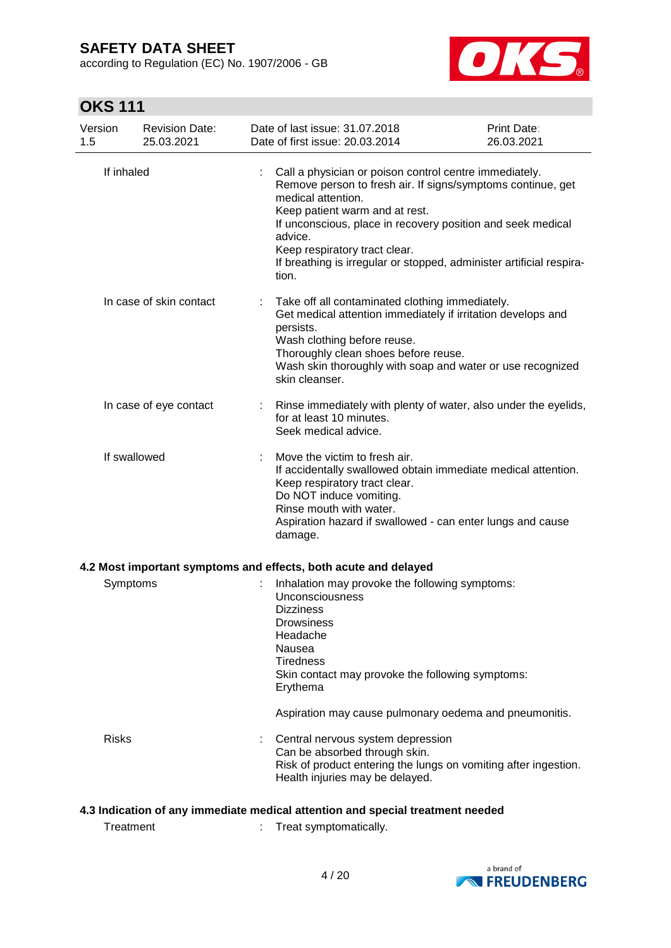according to Regulation (EC) No. 1907/2006 - GB



# **OKS 111**

| Version<br>1.5                                                                 | <b>Revision Date:</b><br>25.03.2021 |  | Date of last issue: 31.07.2018<br>Date of first issue: 20.03.2014                                                                                                                                                                                                                                                                                                         | Print Date:<br>26.03.2021 |
|--------------------------------------------------------------------------------|-------------------------------------|--|---------------------------------------------------------------------------------------------------------------------------------------------------------------------------------------------------------------------------------------------------------------------------------------------------------------------------------------------------------------------------|---------------------------|
|                                                                                | If inhaled                          |  | Call a physician or poison control centre immediately.<br>Remove person to fresh air. If signs/symptoms continue, get<br>medical attention.<br>Keep patient warm and at rest.<br>If unconscious, place in recovery position and seek medical<br>advice.<br>Keep respiratory tract clear.<br>If breathing is irregular or stopped, administer artificial respira-<br>tion. |                           |
|                                                                                | In case of skin contact             |  | Take off all contaminated clothing immediately.<br>Get medical attention immediately if irritation develops and<br>persists.<br>Wash clothing before reuse.<br>Thoroughly clean shoes before reuse.<br>Wash skin thoroughly with soap and water or use recognized<br>skin cleanser.                                                                                       |                           |
|                                                                                | In case of eye contact              |  | Rinse immediately with plenty of water, also under the eyelids,<br>for at least 10 minutes.<br>Seek medical advice.                                                                                                                                                                                                                                                       |                           |
|                                                                                | If swallowed                        |  | Move the victim to fresh air.<br>If accidentally swallowed obtain immediate medical attention.<br>Keep respiratory tract clear.<br>Do NOT induce vomiting.<br>Rinse mouth with water.<br>Aspiration hazard if swallowed - can enter lungs and cause<br>damage.                                                                                                            |                           |
|                                                                                |                                     |  | 4.2 Most important symptoms and effects, both acute and delayed                                                                                                                                                                                                                                                                                                           |                           |
|                                                                                | Symptoms                            |  | Inhalation may provoke the following symptoms:<br><b>Unconsciousness</b><br><b>Dizziness</b><br>Drowsiness<br>Headache<br>Nausea<br><b>Tiredness</b><br>Skin contact may provoke the following symptoms:<br>Erythema                                                                                                                                                      |                           |
|                                                                                |                                     |  | Aspiration may cause pulmonary oedema and pneumonitis.                                                                                                                                                                                                                                                                                                                    |                           |
|                                                                                | <b>Risks</b>                        |  | Central nervous system depression<br>Can be absorbed through skin.<br>Risk of product entering the lungs on vomiting after ingestion.<br>Health injuries may be delayed.                                                                                                                                                                                                  |                           |
| 4.3 Indication of any immediate medical attention and special treatment needed |                                     |  |                                                                                                                                                                                                                                                                                                                                                                           |                           |

Treatment : Treat symptomatically.

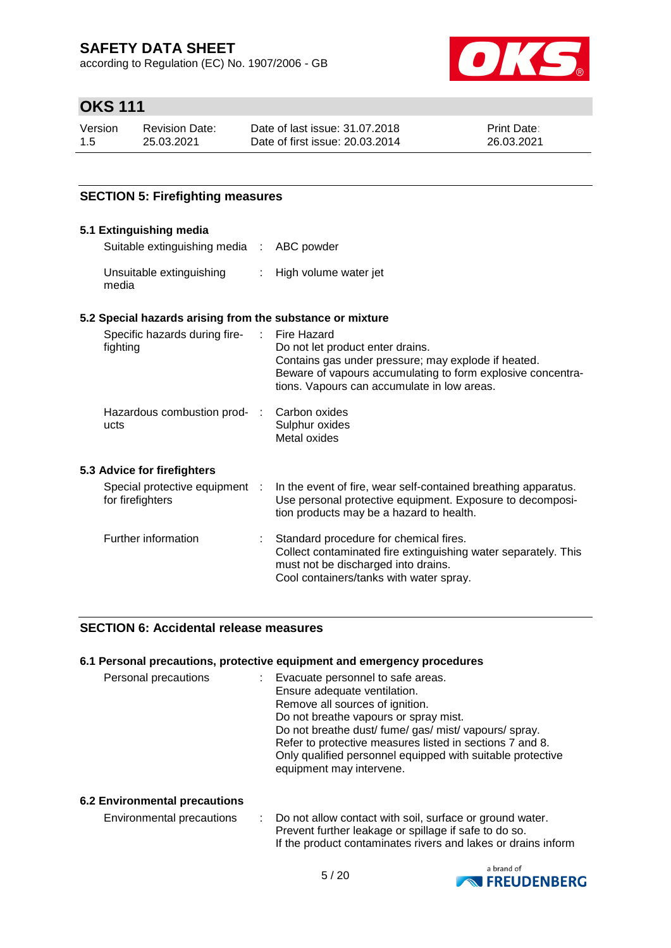according to Regulation (EC) No. 1907/2006 - GB



# **OKS 111**

| Version | <b>Revision Date:</b> | Date of last issue: 31.07.2018  | <b>Print Date:</b> |
|---------|-----------------------|---------------------------------|--------------------|
| 1.5     | 25.03.2021            | Date of first issue: 20.03.2014 | 26.03.2021         |

## **SECTION 5: Firefighting measures**

#### **5.1 Extinguishing media** Suitable extinguishing media : ABC powder Unsuitable extinguishing media : High volume water jet **5.2 Special hazards arising from the substance or mixture** Specific hazards during firefighting : Fire Hazard Do not let product enter drains. Contains gas under pressure; may explode if heated. Beware of vapours accumulating to form explosive concentrations. Vapours can accumulate in low areas. Hazardous combustion prod- : ucts Carbon oxides Sulphur oxides Metal oxides **5.3 Advice for firefighters** Special protective equipment : for firefighters : In the event of fire, wear self-contained breathing apparatus. Use personal protective equipment. Exposure to decomposition products may be a hazard to health. Further information : Standard procedure for chemical fires. Collect contaminated fire extinguishing water separately. This must not be discharged into drains. Cool containers/tanks with water spray.

#### **SECTION 6: Accidental release measures**

#### **6.1 Personal precautions, protective equipment and emergency procedures**

| Personal precautions | Evacuate personnel to safe areas.                                                      |
|----------------------|----------------------------------------------------------------------------------------|
|                      | Ensure adequate ventilation.                                                           |
|                      | Remove all sources of ignition.                                                        |
|                      | Do not breathe vapours or spray mist.                                                  |
|                      | Do not breathe dust/fume/gas/mist/vapours/spray.                                       |
|                      | Refer to protective measures listed in sections 7 and 8.                               |
|                      | Only qualified personnel equipped with suitable protective<br>equipment may intervene. |
|                      |                                                                                        |

#### **6.2 Environmental precautions**

| Environmental precautions | : Do not allow contact with soil, surface or ground water.    |
|---------------------------|---------------------------------------------------------------|
|                           | Prevent further leakage or spillage if safe to do so.         |
|                           | If the product contaminates rivers and lakes or drains inform |

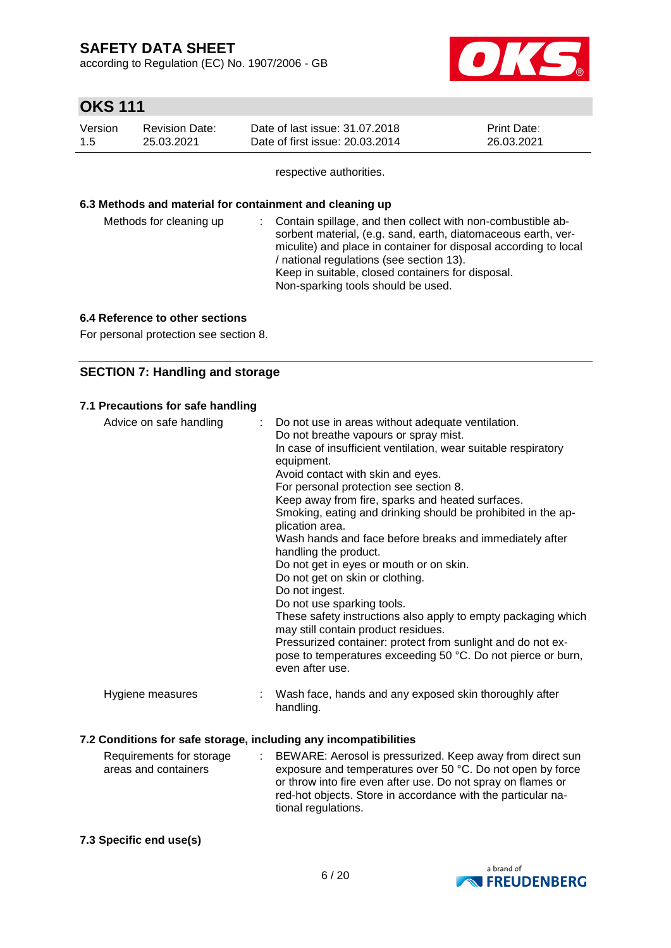according to Regulation (EC) No. 1907/2006 - GB



# **OKS 111**

| Version | <b>Revision Date:</b> | Date of last issue: 31,07,2018  | <b>Print Date:</b> |
|---------|-----------------------|---------------------------------|--------------------|
| -1.5    | 25.03.2021            | Date of first issue: 20.03.2014 | 26.03.2021         |

respective authorities.

#### **6.3 Methods and material for containment and cleaning up**

| / national regulations (see section 13).<br>Keep in suitable, closed containers for disposal.<br>Non-sparking tools should be used. |  | Methods for cleaning up |  | : Contain spillage, and then collect with non-combustible ab-<br>sorbent material, (e.g. sand, earth, diatomaceous earth, ver-<br>miculite) and place in container for disposal according to local |
|-------------------------------------------------------------------------------------------------------------------------------------|--|-------------------------|--|----------------------------------------------------------------------------------------------------------------------------------------------------------------------------------------------------|
|-------------------------------------------------------------------------------------------------------------------------------------|--|-------------------------|--|----------------------------------------------------------------------------------------------------------------------------------------------------------------------------------------------------|

## **6.4 Reference to other sections**

For personal protection see section 8.

## **SECTION 7: Handling and storage**

## **7.1 Precautions for safe handling**

| Advice on safe handling                                          | Do not use in areas without adequate ventilation.<br>÷.<br>Do not breathe vapours or spray mist.<br>In case of insufficient ventilation, wear suitable respiratory<br>equipment.<br>Avoid contact with skin and eyes.<br>For personal protection see section 8.<br>Keep away from fire, sparks and heated surfaces.<br>Smoking, eating and drinking should be prohibited in the ap-<br>plication area.<br>Wash hands and face before breaks and immediately after<br>handling the product.<br>Do not get in eyes or mouth or on skin.<br>Do not get on skin or clothing.<br>Do not ingest.<br>Do not use sparking tools.<br>These safety instructions also apply to empty packaging which<br>may still contain product residues.<br>Pressurized container: protect from sunlight and do not ex- |
|------------------------------------------------------------------|-------------------------------------------------------------------------------------------------------------------------------------------------------------------------------------------------------------------------------------------------------------------------------------------------------------------------------------------------------------------------------------------------------------------------------------------------------------------------------------------------------------------------------------------------------------------------------------------------------------------------------------------------------------------------------------------------------------------------------------------------------------------------------------------------|
|                                                                  | pose to temperatures exceeding 50 °C. Do not pierce or burn,<br>even after use.                                                                                                                                                                                                                                                                                                                                                                                                                                                                                                                                                                                                                                                                                                                 |
| Hygiene measures                                                 | Wash face, hands and any exposed skin thoroughly after<br>handling.                                                                                                                                                                                                                                                                                                                                                                                                                                                                                                                                                                                                                                                                                                                             |
| 7.2 Conditions for safe storage, including any incompatibilities |                                                                                                                                                                                                                                                                                                                                                                                                                                                                                                                                                                                                                                                                                                                                                                                                 |

#### Requirements for storage areas and containers : BEWARE: Aerosol is pressurized. Keep away from direct sun exposure and temperatures over 50 °C. Do not open by force or throw into fire even after use. Do not spray on flames or red-hot objects. Store in accordance with the particular national regulations.

## **7.3 Specific end use(s)**

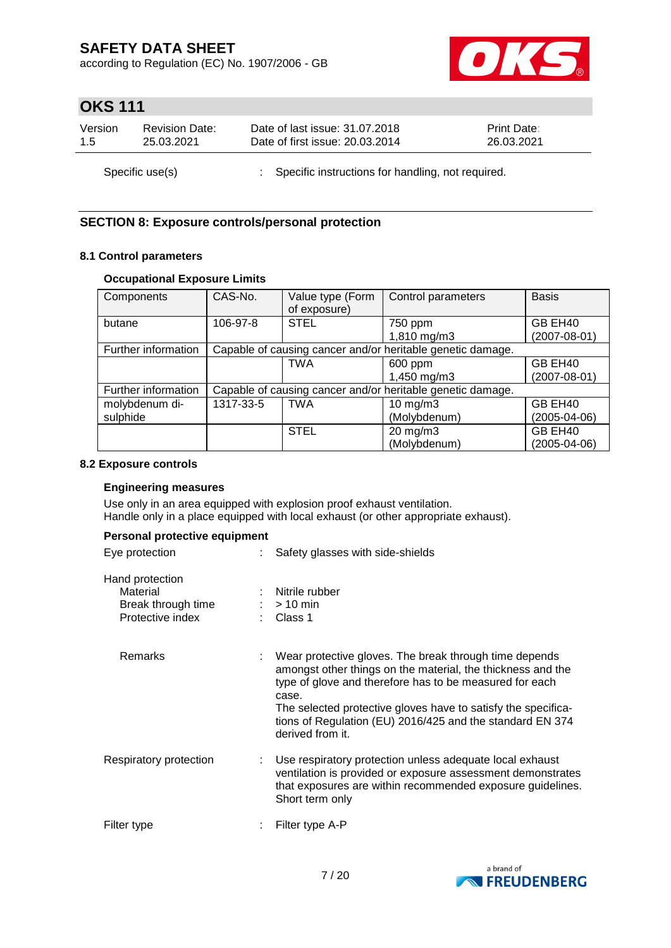according to Regulation (EC) No. 1907/2006 - GB



# **OKS 111**

| Version | <b>Revision Date:</b> | Date of last issue: 31.07.2018                      | <b>Print Date:</b> |
|---------|-----------------------|-----------------------------------------------------|--------------------|
| 15      | 25.03.2021            | Date of first issue: 20.03.2014                     | 26.03.2021         |
|         | Specific use(s)       | : Specific instructions for handling, not required. |                    |

## **SECTION 8: Exposure controls/personal protection**

## **8.1 Control parameters**

## **Occupational Exposure Limits**

| Components          | CAS-No.   | Value type (Form<br>of exposure) | Control parameters                                         | <b>Basis</b>       |
|---------------------|-----------|----------------------------------|------------------------------------------------------------|--------------------|
| butane              | 106-97-8  | <b>STEL</b>                      | 750 ppm                                                    | GB EH40            |
|                     |           |                                  | 1,810 mg/m3                                                | $(2007 - 08 - 01)$ |
| Further information |           |                                  | Capable of causing cancer and/or heritable genetic damage. |                    |
|                     |           | <b>TWA</b>                       | 600 ppm                                                    | GB EH40            |
|                     |           |                                  | 1,450 mg/m3                                                | $(2007 - 08 - 01)$ |
| Further information |           |                                  | Capable of causing cancer and/or heritable genetic damage. |                    |
| molybdenum di-      | 1317-33-5 | <b>TWA</b>                       | $10$ mg/m $3$                                              | GB EH40            |
| sulphide            |           |                                  | (Molybdenum)                                               | (2005-04-06)       |
|                     |           | <b>STEL</b>                      | $20 \text{ mg/m}$ 3                                        | GB EH40            |
|                     |           |                                  | (Molybdenum)                                               | (2005-04-06)       |

#### **8.2 Exposure controls**

### **Engineering measures**

Use only in an area equipped with explosion proof exhaust ventilation. Handle only in a place equipped with local exhaust (or other appropriate exhaust).

## **Personal protective equipment**

| Eye protection                                                        | Safety glasses with side-shields                                                                                                                                                                                                                                                                                                            |
|-----------------------------------------------------------------------|---------------------------------------------------------------------------------------------------------------------------------------------------------------------------------------------------------------------------------------------------------------------------------------------------------------------------------------------|
| Hand protection<br>Material<br>Break through time<br>Protective index | Nitrile rubber<br>$:$ > 10 min<br>: Class 1                                                                                                                                                                                                                                                                                                 |
| Remarks                                                               | Wear protective gloves. The break through time depends<br>amongst other things on the material, the thickness and the<br>type of glove and therefore has to be measured for each<br>case.<br>The selected protective gloves have to satisfy the specifica-<br>tions of Regulation (EU) 2016/425 and the standard EN 374<br>derived from it. |
| Respiratory protection                                                | Use respiratory protection unless adequate local exhaust<br>ventilation is provided or exposure assessment demonstrates<br>that exposures are within recommended exposure guidelines.<br>Short term only                                                                                                                                    |
| Filter type                                                           | Filter type A-P                                                                                                                                                                                                                                                                                                                             |

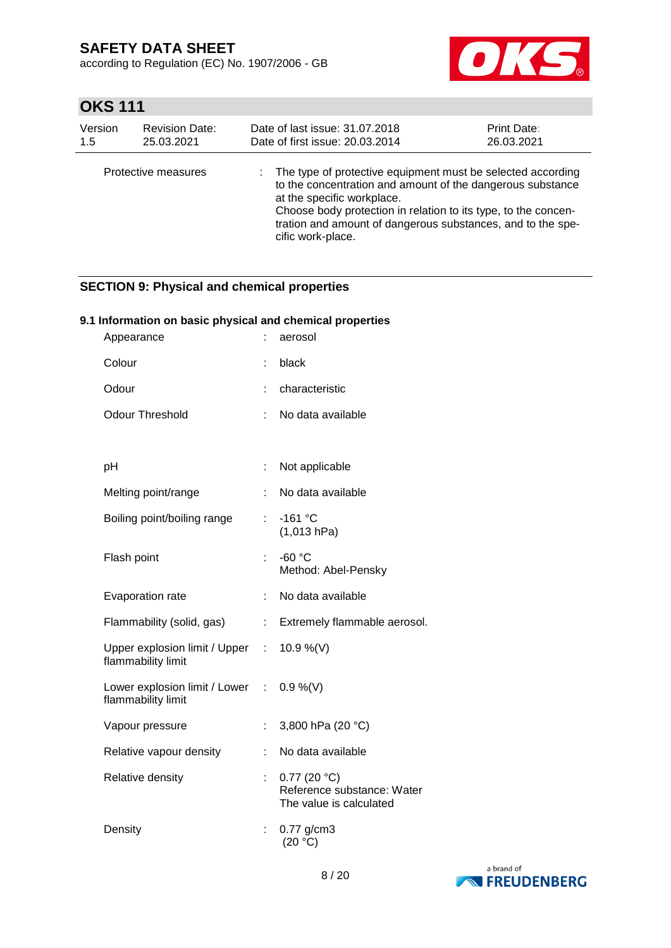according to Regulation (EC) No. 1907/2006 - GB



# **OKS 111**

| Version | <b>Revision Date:</b> | Date of last issue: 31.07.2018  |                                                                                                                                                                                                                                                                                          | Print Date: |
|---------|-----------------------|---------------------------------|------------------------------------------------------------------------------------------------------------------------------------------------------------------------------------------------------------------------------------------------------------------------------------------|-------------|
| 1.5     | 25.03.2021            | Date of first issue: 20.03.2014 |                                                                                                                                                                                                                                                                                          | 26.03.2021  |
|         | Protective measures   | cific work-place.               | The type of protective equipment must be selected according<br>to the concentration and amount of the dangerous substance<br>at the specific workplace.<br>Choose body protection in relation to its type, to the concen-<br>tration and amount of dangerous substances, and to the spe- |             |

## **SECTION 9: Physical and chemical properties**

## **9.1 Information on basic physical and chemical properties**

| Appearance                                                     |                       | aerosol                                                              |
|----------------------------------------------------------------|-----------------------|----------------------------------------------------------------------|
| Colour                                                         |                       | black                                                                |
| Odour                                                          |                       | characteristic                                                       |
| <b>Odour Threshold</b>                                         |                       | No data available                                                    |
|                                                                |                       |                                                                      |
| рH                                                             | ÷.                    | Not applicable                                                       |
| Melting point/range                                            |                       | No data available                                                    |
| Boiling point/boiling range                                    | t.                    | $-161$ °C<br>(1,013 hPa)                                             |
| Flash point                                                    | t.                    | $-60 °C$<br>Method: Abel-Pensky                                      |
| Evaporation rate                                               | ÷.                    | No data available                                                    |
| Flammability (solid, gas)                                      | $\mathbb{Z}^{\times}$ | Extremely flammable aerosol.                                         |
| Upper explosion limit / Upper :<br>flammability limit          |                       | 10.9 %(V)                                                            |
| Lower explosion limit / Lower : 0.9 %(V)<br>flammability limit |                       |                                                                      |
| Vapour pressure                                                | ÷                     | 3,800 hPa (20 °C)                                                    |
| Relative vapour density                                        | ÷.                    | No data available                                                    |
| Relative density                                               |                       | 0.77(20 °C)<br>Reference substance: Water<br>The value is calculated |
| Density                                                        | ÷                     | $0.77$ g/cm3<br>(20 °C)                                              |

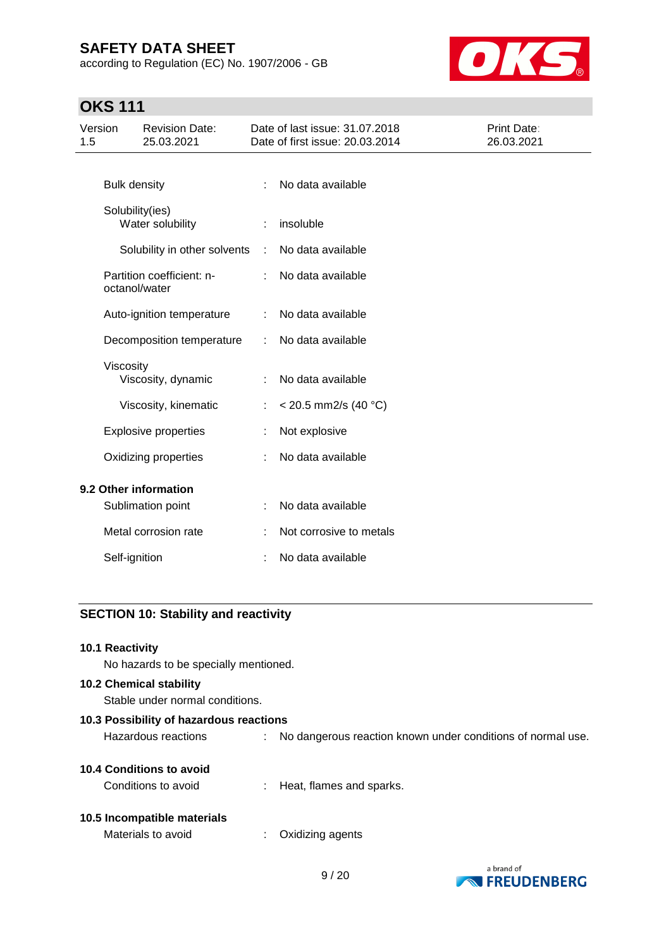according to Regulation (EC) No. 1907/2006 - GB



# **OKS 111**

| Version<br>1.5 |                     | <b>Revision Date:</b><br>25.03.2021        |    | Date of last issue: 31.07.2018<br>Date of first issue: 20.03.2014 | Print Date:<br>26.03.2021 |
|----------------|---------------------|--------------------------------------------|----|-------------------------------------------------------------------|---------------------------|
|                |                     |                                            |    |                                                                   |                           |
|                | <b>Bulk density</b> |                                            | ÷  | No data available                                                 |                           |
|                |                     | Solubility(ies)<br>Water solubility        |    | insoluble                                                         |                           |
|                |                     | Solubility in other solvents               | ÷  | No data available                                                 |                           |
|                |                     | Partition coefficient: n-<br>octanol/water | ÷. | No data available                                                 |                           |
|                |                     | Auto-ignition temperature                  |    | No data available                                                 |                           |
|                |                     | Decomposition temperature                  |    | No data available                                                 |                           |
|                | Viscosity           | Viscosity, dynamic                         |    | No data available                                                 |                           |
|                |                     | Viscosity, kinematic                       | ÷  | < 20.5 mm2/s (40 °C)                                              |                           |
|                |                     | <b>Explosive properties</b>                |    | Not explosive                                                     |                           |
|                |                     | Oxidizing properties                       |    | No data available                                                 |                           |
|                |                     | 9.2 Other information                      |    |                                                                   |                           |
|                |                     | Sublimation point                          | ÷  | No data available                                                 |                           |
|                |                     | Metal corrosion rate                       |    | Not corrosive to metals                                           |                           |
|                | Self-ignition       |                                            |    | No data available                                                 |                           |

## **SECTION 10: Stability and reactivity**

#### **10.1 Reactivity**

No hazards to be specially mentioned.

## **10.2 Chemical stability**

Stable under normal conditions.

| 10.3 Possibility of hazardous reactions |                                                               |
|-----------------------------------------|---------------------------------------------------------------|
| Hazardous reactions                     | : No dangerous reaction known under conditions of normal use. |
| <b>10.4 Conditions to avoid</b>         |                                                               |
| Conditions to avoid                     | : Heat, flames and sparks.                                    |

## **10.5 Incompatible materials**

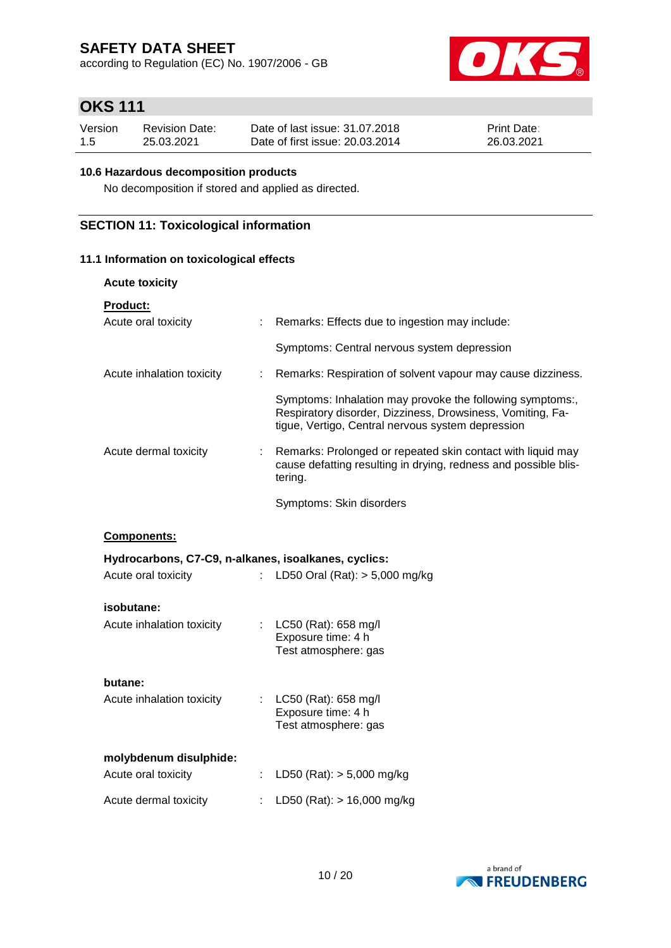according to Regulation (EC) No. 1907/2006 - GB



# **OKS 111**

| Version | <b>Revision Date:</b> | Date of last issue: 31.07.2018  | <b>Print Date:</b> |
|---------|-----------------------|---------------------------------|--------------------|
| 1.5     | 25.03.2021            | Date of first issue: 20.03.2014 | 26.03.2021         |

## **10.6 Hazardous decomposition products**

No decomposition if stored and applied as directed.

## **SECTION 11: Toxicological information**

## **11.1 Information on toxicological effects**

| <b>Acute toxicity</b>                                |                             |                                                                                                                                                                              |
|------------------------------------------------------|-----------------------------|------------------------------------------------------------------------------------------------------------------------------------------------------------------------------|
| <b>Product:</b><br>Acute oral toxicity               | ÷                           | Remarks: Effects due to ingestion may include:                                                                                                                               |
|                                                      |                             | Symptoms: Central nervous system depression                                                                                                                                  |
| Acute inhalation toxicity                            | ÷.                          | Remarks: Respiration of solvent vapour may cause dizziness.                                                                                                                  |
|                                                      |                             | Symptoms: Inhalation may provoke the following symptoms:,<br>Respiratory disorder, Dizziness, Drowsiness, Vomiting, Fa-<br>tigue, Vertigo, Central nervous system depression |
| Acute dermal toxicity                                | ÷.                          | Remarks: Prolonged or repeated skin contact with liquid may<br>cause defatting resulting in drying, redness and possible blis-<br>tering.                                    |
|                                                      |                             | Symptoms: Skin disorders                                                                                                                                                     |
| Components:                                          |                             |                                                                                                                                                                              |
|                                                      |                             |                                                                                                                                                                              |
| Hydrocarbons, C7-C9, n-alkanes, isoalkanes, cyclics: |                             |                                                                                                                                                                              |
| Acute oral toxicity                                  | $\mathcal{L}^{\mathcal{L}}$ | LD50 Oral (Rat): $> 5,000$ mg/kg                                                                                                                                             |
| isobutane:<br>Acute inhalation toxicity              | t.                          | LC50 (Rat): 658 mg/l<br>Exposure time: 4 h<br>Test atmosphere: gas                                                                                                           |
| butane:<br>Acute inhalation toxicity                 | t.                          | LC50 (Rat): 658 mg/l<br>Exposure time: 4 h<br>Test atmosphere: gas                                                                                                           |
| molybdenum disulphide:<br>Acute oral toxicity        |                             | LD50 (Rat): $> 5,000$ mg/kg                                                                                                                                                  |
| Acute dermal toxicity                                | ÷                           | LD50 (Rat): $> 16,000$ mg/kg                                                                                                                                                 |

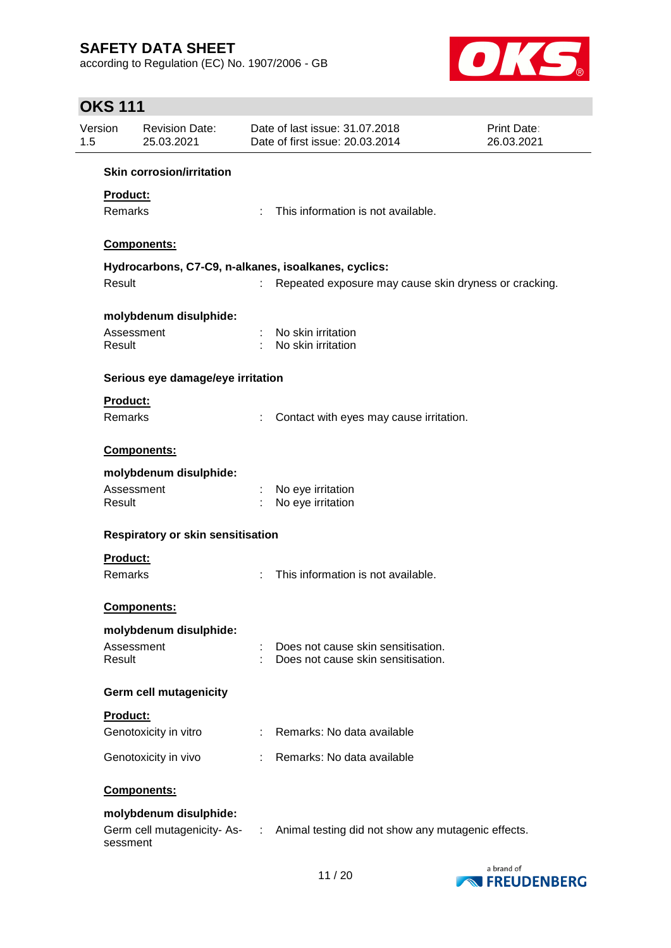according to Regulation (EC) No. 1907/2006 - GB



# **OKS 111**

| 1.5 | Version                           | <b>Revision Date:</b><br>25.03.2021                  |   | Date of last issue: 31.07.2018<br>Date of first issue: 20.03.2014        | <b>Print Date:</b><br>26.03.2021 |  |  |  |  |
|-----|-----------------------------------|------------------------------------------------------|---|--------------------------------------------------------------------------|----------------------------------|--|--|--|--|
|     |                                   | <b>Skin corrosion/irritation</b>                     |   |                                                                          |                                  |  |  |  |  |
|     | <b>Product:</b><br>Remarks        |                                                      | ÷ | This information is not available.                                       |                                  |  |  |  |  |
|     |                                   | Components:                                          |   |                                                                          |                                  |  |  |  |  |
|     |                                   | Hydrocarbons, C7-C9, n-alkanes, isoalkanes, cyclics: |   |                                                                          |                                  |  |  |  |  |
|     | Result                            |                                                      |   | Repeated exposure may cause skin dryness or cracking.                    |                                  |  |  |  |  |
|     | Assessment<br>Result              | molybdenum disulphide:                               |   | No skin irritation<br>No skin irritation                                 |                                  |  |  |  |  |
|     |                                   | Serious eye damage/eye irritation                    |   |                                                                          |                                  |  |  |  |  |
|     | Product:<br>Remarks               |                                                      |   | Contact with eyes may cause irritation.                                  |                                  |  |  |  |  |
|     |                                   | <b>Components:</b>                                   |   |                                                                          |                                  |  |  |  |  |
|     |                                   | molybdenum disulphide:                               |   |                                                                          |                                  |  |  |  |  |
|     | Assessment<br>Result              |                                                      |   | No eye irritation<br>No eye irritation                                   |                                  |  |  |  |  |
|     | Respiratory or skin sensitisation |                                                      |   |                                                                          |                                  |  |  |  |  |
|     | Product:                          |                                                      |   |                                                                          |                                  |  |  |  |  |
|     | <b>Remarks</b>                    |                                                      |   | This information is not available.                                       |                                  |  |  |  |  |
|     |                                   | Components:                                          |   |                                                                          |                                  |  |  |  |  |
|     |                                   | molybdenum disulphide:                               |   |                                                                          |                                  |  |  |  |  |
|     | Assessment<br>Result              |                                                      |   | Does not cause skin sensitisation.<br>Does not cause skin sensitisation. |                                  |  |  |  |  |
|     |                                   | <b>Germ cell mutagenicity</b>                        |   |                                                                          |                                  |  |  |  |  |
|     | Product:                          |                                                      |   |                                                                          |                                  |  |  |  |  |
|     |                                   | Genotoxicity in vitro                                | ÷ | Remarks: No data available                                               |                                  |  |  |  |  |
|     |                                   | Genotoxicity in vivo                                 |   | Remarks: No data available                                               |                                  |  |  |  |  |
|     |                                   | Components:                                          |   |                                                                          |                                  |  |  |  |  |
|     |                                   | molybdenum disulphide:                               |   |                                                                          |                                  |  |  |  |  |
|     | sessment                          | Germ cell mutagenicity-As- :                         |   | Animal testing did not show any mutagenic effects.                       |                                  |  |  |  |  |

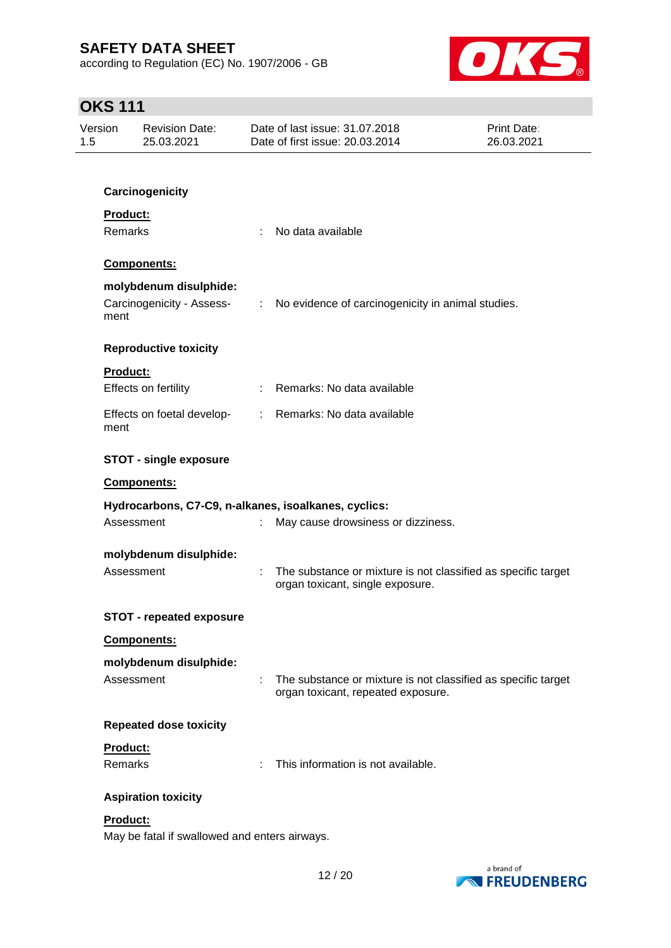according to Regulation (EC) No. 1907/2006 - GB



# **OKS 111**

| Version<br>1.5 | <b>Revision Date:</b><br>25.03.2021                                                                                                        |    | Date of last issue: 31,07,2018<br>Date of first issue: 20.03.2014                                   | <b>Print Date:</b><br>26.03.2021 |
|----------------|--------------------------------------------------------------------------------------------------------------------------------------------|----|-----------------------------------------------------------------------------------------------------|----------------------------------|
|                |                                                                                                                                            |    |                                                                                                     |                                  |
|                | Carcinogenicity                                                                                                                            |    |                                                                                                     |                                  |
|                | Product:<br>Remarks<br>Components:<br>molybdenum disulphide:<br>Carcinogenicity - Assess-<br>ment                                          |    | No data available                                                                                   |                                  |
|                |                                                                                                                                            |    |                                                                                                     |                                  |
|                |                                                                                                                                            |    | No evidence of carcinogenicity in animal studies.<br>$\mathbb{Z}^n$                                 |                                  |
|                | <b>Reproductive toxicity</b>                                                                                                               |    |                                                                                                     |                                  |
|                | <b>Product:</b><br>Effects on fertility                                                                                                    |    | : Remarks: No data available                                                                        |                                  |
|                | Effects on foetal develop-<br>ment<br><b>STOT - single exposure</b><br>Components:<br>Hydrocarbons, C7-C9, n-alkanes, isoalkanes, cyclics: |    | : Remarks: No data available                                                                        |                                  |
|                |                                                                                                                                            |    |                                                                                                     |                                  |
|                |                                                                                                                                            |    |                                                                                                     |                                  |
|                |                                                                                                                                            |    |                                                                                                     |                                  |
|                | Assessment                                                                                                                                 |    | May cause drowsiness or dizziness.                                                                  |                                  |
|                | molybdenum disulphide:<br>Assessment                                                                                                       |    | The substance or mixture is not classified as specific target<br>organ toxicant, single exposure.   |                                  |
|                | <b>STOT - repeated exposure</b>                                                                                                            |    |                                                                                                     |                                  |
|                | Components:                                                                                                                                |    |                                                                                                     |                                  |
|                | molybdenum disulphide:                                                                                                                     |    |                                                                                                     |                                  |
|                | Assessment                                                                                                                                 | ÷. | The substance or mixture is not classified as specific target<br>organ toxicant, repeated exposure. |                                  |
|                | <b>Repeated dose toxicity</b>                                                                                                              |    |                                                                                                     |                                  |
|                | Product:<br>Remarks                                                                                                                        |    | This information is not available.                                                                  |                                  |
|                | <b>Aspiration toxicity</b>                                                                                                                 |    |                                                                                                     |                                  |
|                | Product:                                                                                                                                   |    |                                                                                                     |                                  |

May be fatal if swallowed and enters airways.

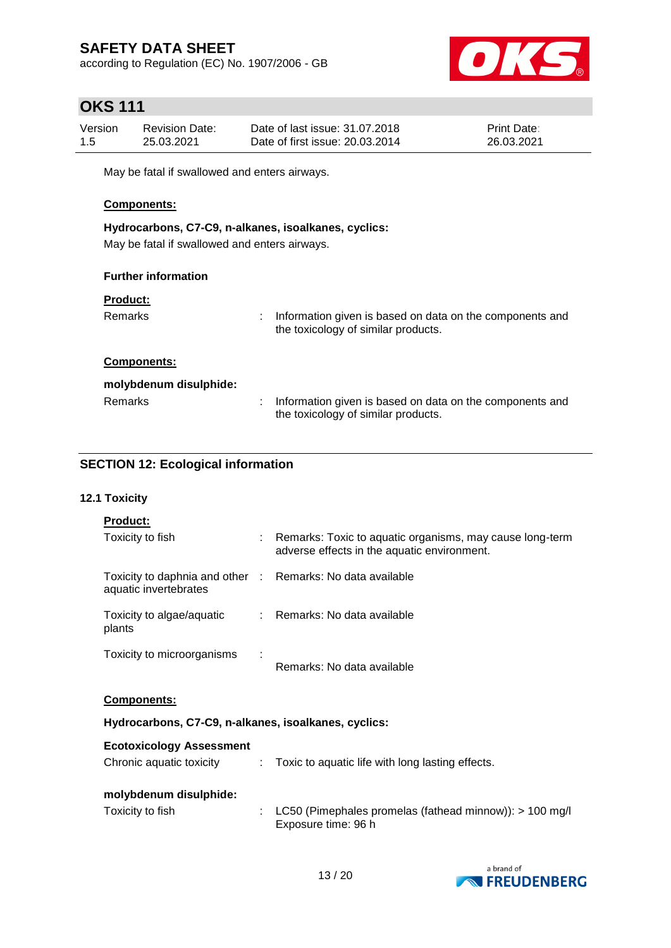according to Regulation (EC) No. 1907/2006 - GB



# **OKS 111**

| Version | <b>Revision Date:</b> | Date of last issue: 31.07.2018  | <b>Print Date:</b> |
|---------|-----------------------|---------------------------------|--------------------|
| 1.5     | 25.03.2021            | Date of first issue: 20.03.2014 | 26.03.2021         |

May be fatal if swallowed and enters airways.

## **Components:**

**Hydrocarbons, C7-C9, n-alkanes, isoalkanes, cyclics:** May be fatal if swallowed and enters airways.

## **Further information**

#### **Product:**

| Remarks                | ÷. | Information given is based on data on the components and<br>the toxicology of similar products. |
|------------------------|----|-------------------------------------------------------------------------------------------------|
| <b>Components:</b>     |    |                                                                                                 |
| molybdenum disulphide: |    |                                                                                                 |
| Remarks                |    | Information given is based on data on the components and                                        |

the toxicology of similar products.

## **SECTION 12: Ecological information**

## **12.1 Toxicity**

| <b>Product:</b>                                                                     |   |                                                                                                         |  |  |  |
|-------------------------------------------------------------------------------------|---|---------------------------------------------------------------------------------------------------------|--|--|--|
| Toxicity to fish                                                                    |   | Remarks: Toxic to aquatic organisms, may cause long-term<br>adverse effects in the aquatic environment. |  |  |  |
| Toxicity to daphnia and other : Remarks: No data available<br>aquatic invertebrates |   |                                                                                                         |  |  |  |
| Toxicity to algae/aquatic<br>plants                                                 |   | : Remarks: No data available                                                                            |  |  |  |
| Toxicity to microorganisms                                                          | ÷ | Remarks: No data available                                                                              |  |  |  |
| <b>Components:</b>                                                                  |   |                                                                                                         |  |  |  |
| Hydrocarbons, C7-C9, n-alkanes, isoalkanes, cyclics:                                |   |                                                                                                         |  |  |  |
| <b>Ecotoxicology Assessment</b>                                                     |   |                                                                                                         |  |  |  |
| Chronic aquatic toxicity                                                            |   | : Toxic to aquatic life with long lasting effects.                                                      |  |  |  |

#### **molybdenum disulphide:**

| Toxicity to fish |  | : LC50 (Pimephales promelas (fathead minnow)): $> 100$ mg/l |  |
|------------------|--|-------------------------------------------------------------|--|
|                  |  | Exposure time: 96 h                                         |  |

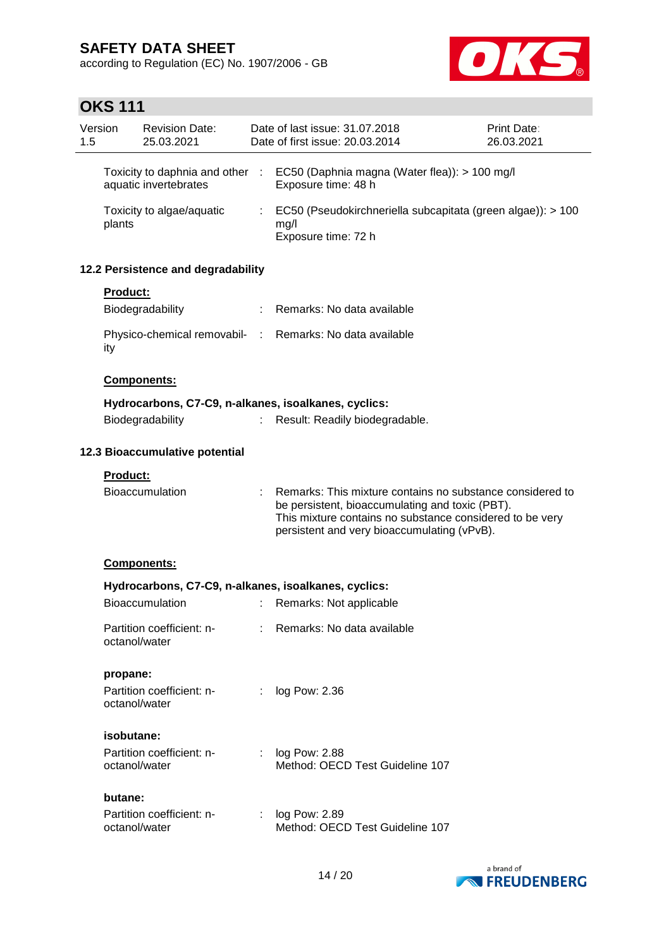according to Regulation (EC) No. 1907/2006 - GB



# **OKS 111**

| 1.5 | Version       | <b>Revision Date:</b><br>25.03.2021                    |                             | Date of last issue: 31.07.2018<br>Date of first issue: 20.03.2014                                                                                                                                                       | <b>Print Date:</b><br>26.03.2021 |
|-----|---------------|--------------------------------------------------------|-----------------------------|-------------------------------------------------------------------------------------------------------------------------------------------------------------------------------------------------------------------------|----------------------------------|
|     |               | Toxicity to daphnia and other<br>aquatic invertebrates | $\cdot$ :                   | EC50 (Daphnia magna (Water flea)): > 100 mg/l<br>Exposure time: 48 h                                                                                                                                                    |                                  |
|     | plants        | Toxicity to algae/aquatic                              | $\mathcal{L}^{\mathcal{L}}$ | EC50 (Pseudokirchneriella subcapitata (green algae)): > 100<br>mg/l<br>Exposure time: 72 h                                                                                                                              |                                  |
|     |               | 12.2 Persistence and degradability                     |                             |                                                                                                                                                                                                                         |                                  |
|     | Product:      |                                                        |                             |                                                                                                                                                                                                                         |                                  |
|     |               | Biodegradability                                       |                             | Remarks: No data available                                                                                                                                                                                              |                                  |
|     | ity           |                                                        |                             | Physico-chemical removabil- : Remarks: No data available                                                                                                                                                                |                                  |
|     |               | Components:                                            |                             |                                                                                                                                                                                                                         |                                  |
|     |               |                                                        |                             | Hydrocarbons, C7-C9, n-alkanes, isoalkanes, cyclics:                                                                                                                                                                    |                                  |
|     |               | Biodegradability                                       | ÷.                          | Result: Readily biodegradable.                                                                                                                                                                                          |                                  |
|     |               | 12.3 Bioaccumulative potential                         |                             |                                                                                                                                                                                                                         |                                  |
|     | Product:      |                                                        |                             |                                                                                                                                                                                                                         |                                  |
|     |               | <b>Bioaccumulation</b>                                 |                             | Remarks: This mixture contains no substance considered to<br>be persistent, bioaccumulating and toxic (PBT).<br>This mixture contains no substance considered to be very<br>persistent and very bioaccumulating (vPvB). |                                  |
|     |               | Components:                                            |                             |                                                                                                                                                                                                                         |                                  |
|     |               |                                                        |                             | Hydrocarbons, C7-C9, n-alkanes, isoalkanes, cyclics:                                                                                                                                                                    |                                  |
|     |               | Bioaccumulation                                        | ÷.                          | Remarks: Not applicable                                                                                                                                                                                                 |                                  |
|     | octanol/water | Partition coefficient: n-                              |                             | Remarks: No data available                                                                                                                                                                                              |                                  |
|     | propane:      |                                                        |                             |                                                                                                                                                                                                                         |                                  |
|     | octanol/water | Partition coefficient: n-                              | ÷                           | log Pow: 2.36                                                                                                                                                                                                           |                                  |
|     | isobutane:    |                                                        |                             |                                                                                                                                                                                                                         |                                  |
|     | octanol/water | Partition coefficient: n-                              |                             | log Pow: 2.88<br>Method: OECD Test Guideline 107                                                                                                                                                                        |                                  |
|     | butane:       |                                                        |                             |                                                                                                                                                                                                                         |                                  |
|     | octanol/water | Partition coefficient: n-                              |                             | log Pow: 2.89<br>Method: OECD Test Guideline 107                                                                                                                                                                        |                                  |

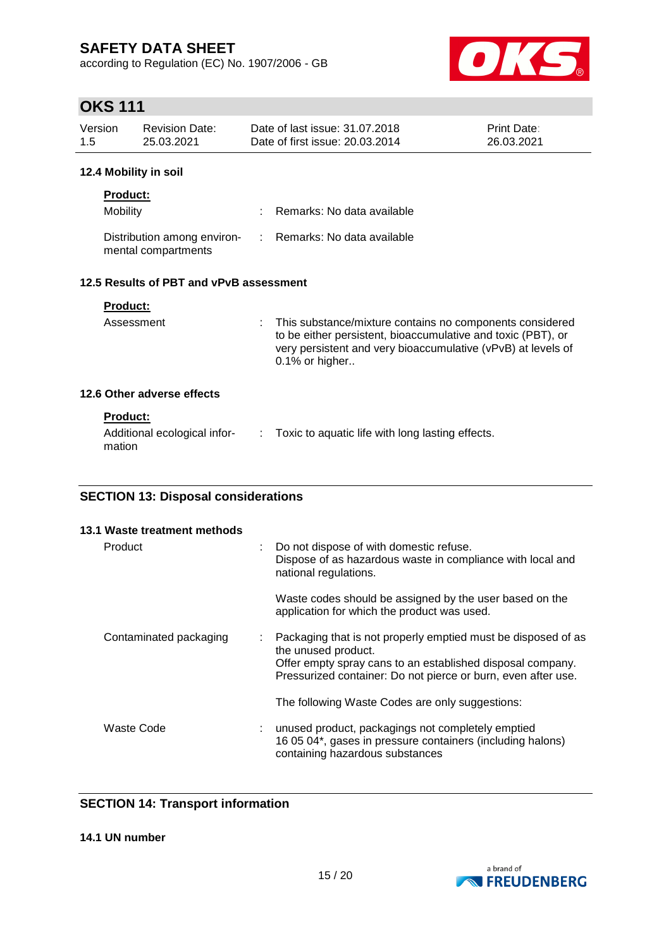according to Regulation (EC) No. 1907/2006 - GB



# **OKS 111**

| -1.5<br>25.03.2021<br>12.4 Mobility in soil |                       |                                                                   |                                  |
|---------------------------------------------|-----------------------|-------------------------------------------------------------------|----------------------------------|
| Version                                     | <b>Revision Date:</b> | Date of last issue: 31.07.2018<br>Date of first issue: 20.03.2014 | <b>Print Date:</b><br>26.03.2021 |

| <b>Product:</b>                                    |                              |
|----------------------------------------------------|------------------------------|
| Mobility                                           | : Remarks: No data available |
| Distribution among environ-<br>mental compartments | : Remarks: No data available |

## **12.5 Results of PBT and vPvB assessment**

| <b>Product:</b><br>Assessment | : This substance/mixture contains no components considered<br>to be either persistent, bioaccumulative and toxic (PBT), or<br>very persistent and very bioaccumulative (vPvB) at levels of<br>$0.1\%$ or higher |
|-------------------------------|-----------------------------------------------------------------------------------------------------------------------------------------------------------------------------------------------------------------|
| 12.6 Other adverse effects    |                                                                                                                                                                                                                 |

#### **Product:**

| Additional ecological infor- | Toxic to aquatic life with long lasting effects. |
|------------------------------|--------------------------------------------------|
| mation                       |                                                  |

## **SECTION 13: Disposal considerations**

| 13.1 Waste treatment methods |   |                                                                                                                                                                                                                     |
|------------------------------|---|---------------------------------------------------------------------------------------------------------------------------------------------------------------------------------------------------------------------|
| Product                      |   | Do not dispose of with domestic refuse.<br>Dispose of as hazardous waste in compliance with local and<br>national regulations.                                                                                      |
|                              |   | Waste codes should be assigned by the user based on the<br>application for which the product was used.                                                                                                              |
| Contaminated packaging       | ÷ | Packaging that is not properly emptied must be disposed of as<br>the unused product.<br>Offer empty spray cans to an established disposal company.<br>Pressurized container: Do not pierce or burn, even after use. |
|                              |   | The following Waste Codes are only suggestions:                                                                                                                                                                     |
| Waste Code                   |   | unused product, packagings not completely emptied<br>16 05 04*, gases in pressure containers (including halons)<br>containing hazardous substances                                                                  |

## **SECTION 14: Transport information**

**14.1 UN number**

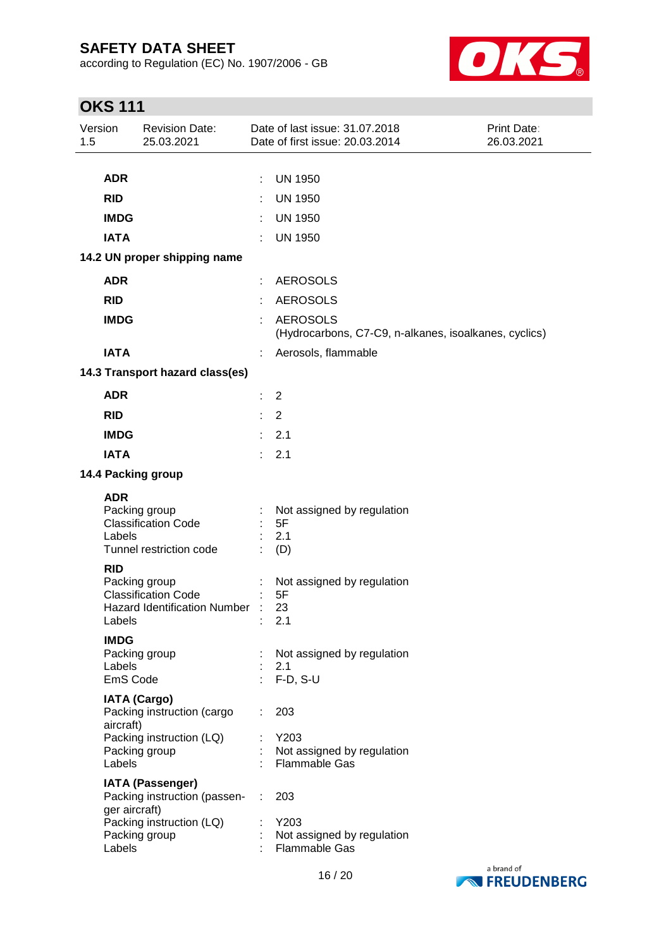according to Regulation (EC) No. 1907/2006 - GB



# **OKS 111**

| Version<br>1.5 |                                   | <b>Revision Date:</b><br>25.03.2021                                                                    |                               | Date of last issue: 31.07.2018<br>Date of first issue: 20.03.2014        | <b>Print Date:</b><br>26.03.2021 |
|----------------|-----------------------------------|--------------------------------------------------------------------------------------------------------|-------------------------------|--------------------------------------------------------------------------|----------------------------------|
|                |                                   |                                                                                                        |                               |                                                                          |                                  |
|                | <b>ADR</b>                        |                                                                                                        |                               | <b>UN 1950</b>                                                           |                                  |
|                | <b>RID</b>                        |                                                                                                        |                               | <b>UN 1950</b>                                                           |                                  |
|                | <b>IMDG</b>                       |                                                                                                        | ÷                             | <b>UN 1950</b>                                                           |                                  |
|                | <b>IATA</b>                       |                                                                                                        | ÷                             | <b>UN 1950</b>                                                           |                                  |
|                |                                   | 14.2 UN proper shipping name                                                                           |                               |                                                                          |                                  |
|                | <b>ADR</b>                        |                                                                                                        |                               | <b>AEROSOLS</b>                                                          |                                  |
|                | <b>RID</b>                        |                                                                                                        |                               | <b>AEROSOLS</b>                                                          |                                  |
|                | <b>IMDG</b>                       |                                                                                                        |                               | <b>AEROSOLS</b><br>(Hydrocarbons, C7-C9, n-alkanes, isoalkanes, cyclics) |                                  |
|                | <b>IATA</b>                       |                                                                                                        |                               | Aerosols, flammable                                                      |                                  |
|                |                                   | 14.3 Transport hazard class(es)                                                                        |                               |                                                                          |                                  |
|                | <b>ADR</b>                        |                                                                                                        | ÷                             | $\overline{2}$                                                           |                                  |
|                | <b>RID</b>                        |                                                                                                        |                               | $\overline{2}$                                                           |                                  |
|                | <b>IMDG</b>                       |                                                                                                        | ÷                             | 2.1                                                                      |                                  |
|                | <b>IATA</b>                       |                                                                                                        | ×                             | 2.1                                                                      |                                  |
|                |                                   | 14.4 Packing group                                                                                     |                               |                                                                          |                                  |
|                | <b>ADR</b>                        |                                                                                                        |                               |                                                                          |                                  |
|                | Labels                            | Packing group<br><b>Classification Code</b><br>Tunnel restriction code                                 |                               | Not assigned by regulation<br>5F<br>2.1<br>(D)                           |                                  |
|                | <b>RID</b><br>Labels              | Packing group<br><b>Classification Code</b><br><b>Hazard Identification Number</b>                     |                               | Not assigned by regulation<br>5F<br>23<br>2.1                            |                                  |
|                | <b>IMDG</b><br>Labels<br>EmS Code | Packing group                                                                                          |                               | : Not assigned by regulation<br>2.1<br>$F-D, S-U$                        |                                  |
|                | aircraft)                         | <b>IATA (Cargo)</b><br>Packing instruction (cargo                                                      | ÷                             | 203                                                                      |                                  |
|                | Labels                            | Packing instruction (LQ)<br>Packing group                                                              |                               | Y203<br>Not assigned by regulation<br>Flammable Gas                      |                                  |
|                | ger aircraft)                     | <b>IATA (Passenger)</b><br>Packing instruction (passen- :<br>Packing instruction (LQ)<br>Packing group | $\mathcal{I}^{\mathcal{I}}$ . | 203<br>Y203<br>Not assigned by regulation                                |                                  |
|                | Labels                            |                                                                                                        |                               | Flammable Gas                                                            |                                  |

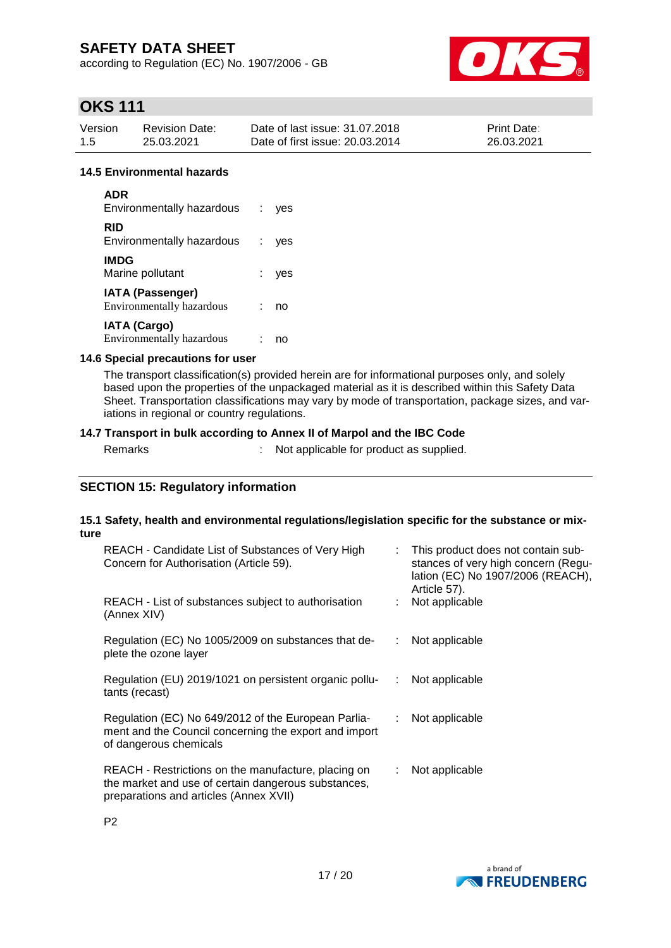according to Regulation (EC) No. 1907/2006 - GB



# **OKS 111**

| Version | <b>Revision Date:</b> | Date of last issue: 31.07.2018  | <b>Print Date:</b> |
|---------|-----------------------|---------------------------------|--------------------|
| 1.5     | 25.03.2021            | Date of first issue: 20.03.2014 | 26.03.2021         |

## **14.5 Environmental hazards**

| <b>ADR</b><br><b>Environmentally hazardous</b>       | $\mathcal{L}$ | ves |
|------------------------------------------------------|---------------|-----|
| RID<br>Environmentally hazardous                     |               | yes |
| <b>IMDG</b><br>Marine pollutant                      |               | ves |
| <b>IATA (Passenger)</b><br>Environmentally hazardous |               | no  |
| <b>IATA (Cargo)</b><br>Environmentally hazardous     |               | no  |

#### **14.6 Special precautions for user**

The transport classification(s) provided herein are for informational purposes only, and solely based upon the properties of the unpackaged material as it is described within this Safety Data Sheet. Transportation classifications may vary by mode of transportation, package sizes, and variations in regional or country regulations.

## **14.7 Transport in bulk according to Annex II of Marpol and the IBC Code**

Remarks : Not applicable for product as supplied.

P2

## **SECTION 15: Regulatory information**

#### **15.1 Safety, health and environmental regulations/legislation specific for the substance or mixture**

| REACH - Candidate List of Substances of Very High<br>Concern for Authorisation (Article 59).                                                         | ÷.                          | This product does not contain sub-<br>stances of very high concern (Regu-<br>lation (EC) No 1907/2006 (REACH),<br>Article 57). |
|------------------------------------------------------------------------------------------------------------------------------------------------------|-----------------------------|--------------------------------------------------------------------------------------------------------------------------------|
| REACH - List of substances subject to authorisation<br>(Annex XIV)                                                                                   |                             | Not applicable                                                                                                                 |
| Regulation (EC) No 1005/2009 on substances that de-<br>plete the ozone layer                                                                         | ÷.                          | Not applicable                                                                                                                 |
| Regulation (EU) 2019/1021 on persistent organic pollu-<br>tants (recast)                                                                             | A.                          | Not applicable                                                                                                                 |
| Regulation (EC) No 649/2012 of the European Parlia-<br>ment and the Council concerning the export and import<br>of dangerous chemicals               | $\mathcal{L}^{\mathcal{L}}$ | Not applicable                                                                                                                 |
| REACH - Restrictions on the manufacture, placing on<br>the market and use of certain dangerous substances,<br>preparations and articles (Annex XVII) |                             | Not applicable                                                                                                                 |

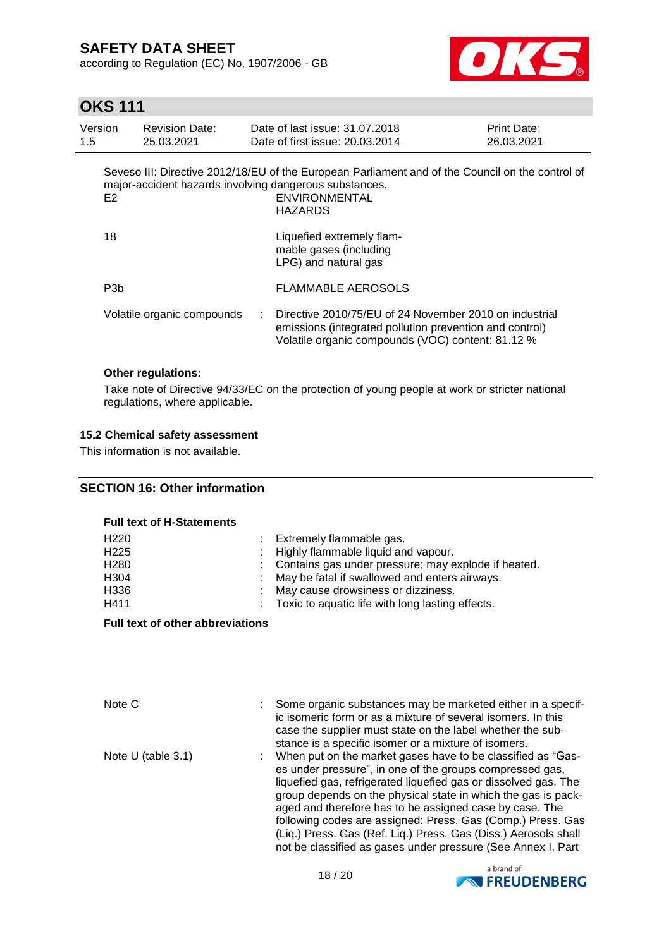according to Regulation (EC) No. 1907/2006 - GB



# **OKS 111**

| Version<br>1.5 | <b>Revision Date:</b><br>25.03.2021 | Date of last issue: 31.07.2018<br>Date of first issue: 20.03.2014                                                                                                                             | Print Date:<br>26.03.2021 |
|----------------|-------------------------------------|-----------------------------------------------------------------------------------------------------------------------------------------------------------------------------------------------|---------------------------|
| E <sub>2</sub> |                                     | Seveso III: Directive 2012/18/EU of the European Parliament and of the Council on the control of<br>major-accident hazards involving dangerous substances.<br><b>ENVIRONMENTAL</b><br>HAZARDS |                           |
| 18             |                                     | Liquefied extremely flam-<br>mable gases (including<br>LPG) and natural gas                                                                                                                   |                           |
| P3b            |                                     | <b>FLAMMABLE AEROSOLS</b>                                                                                                                                                                     |                           |
|                | Volatile organic compounds          | Directive 2010/75/EU of 24 November 2010 on industrial<br>emissions (integrated pollution prevention and control)<br>Volatile organic compounds (VOC) content: 81.12 %                        |                           |

#### **Other regulations:**

Take note of Directive 94/33/EC on the protection of young people at work or stricter national regulations, where applicable.

## **15.2 Chemical safety assessment**

This information is not available.

## **SECTION 16: Other information**

#### **Full text of H-Statements**

| H <sub>220</sub> | : Extremely flammable gas.                            |
|------------------|-------------------------------------------------------|
| H <sub>225</sub> | : Highly flammable liquid and vapour.                 |
| H <sub>280</sub> | : Contains gas under pressure; may explode if heated. |
| H304             | : May be fatal if swallowed and enters airways.       |
| H336             | : May cause drowsiness or dizziness.                  |
| H411             | : Toxic to aquatic life with long lasting effects.    |

#### **Full text of other abbreviations**

| Note C               | Some organic substances may be marketed either in a specif-<br>ic isomeric form or as a mixture of several isomers. In this<br>case the supplier must state on the label whether the sub-<br>stance is a specific isomer or a mixture of isomers.                                                                                                                                                                                                                                                                        |
|----------------------|--------------------------------------------------------------------------------------------------------------------------------------------------------------------------------------------------------------------------------------------------------------------------------------------------------------------------------------------------------------------------------------------------------------------------------------------------------------------------------------------------------------------------|
| Note $U$ (table 3.1) | When put on the market gases have to be classified as "Gas-<br>es under pressure", in one of the groups compressed gas,<br>liquefied gas, refrigerated liquefied gas or dissolved gas. The<br>group depends on the physical state in which the gas is pack-<br>aged and therefore has to be assigned case by case. The<br>following codes are assigned: Press. Gas (Comp.) Press. Gas<br>(Liq.) Press. Gas (Ref. Liq.) Press. Gas (Diss.) Aerosols shall<br>not be classified as gases under pressure (See Annex I, Part |

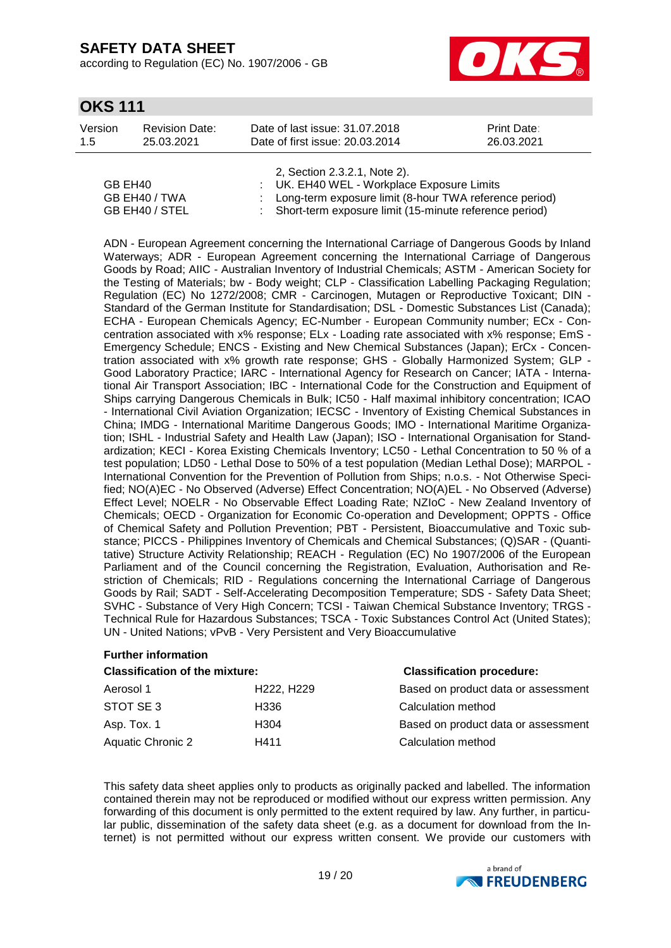according to Regulation (EC) No. 1907/2006 - GB



# **OKS 111**

| Version | <b>Revision Date:</b> | Date of last issue: 31.07.2018  | <b>Print Date:</b> |
|---------|-----------------------|---------------------------------|--------------------|
| -1.5    | 25.03.2021            | Date of first issue: 20.03.2014 | 26.03.2021         |
|         |                       |                                 |                    |

|                | 2, Section 2.3.2.1, Note 2).                             |
|----------------|----------------------------------------------------------|
| GB EH40        | : UK. EH40 WEL - Workplace Exposure Limits               |
| GB EH40 / TWA  | : Long-term exposure limit (8-hour TWA reference period) |
| GB EH40 / STEL | : Short-term exposure limit (15-minute reference period) |

ADN - European Agreement concerning the International Carriage of Dangerous Goods by Inland Waterways; ADR - European Agreement concerning the International Carriage of Dangerous Goods by Road; AIIC - Australian Inventory of Industrial Chemicals; ASTM - American Society for the Testing of Materials; bw - Body weight; CLP - Classification Labelling Packaging Regulation; Regulation (EC) No 1272/2008; CMR - Carcinogen, Mutagen or Reproductive Toxicant; DIN - Standard of the German Institute for Standardisation; DSL - Domestic Substances List (Canada); ECHA - European Chemicals Agency; EC-Number - European Community number; ECx - Concentration associated with x% response; ELx - Loading rate associated with x% response; EmS - Emergency Schedule; ENCS - Existing and New Chemical Substances (Japan); ErCx - Concentration associated with x% growth rate response; GHS - Globally Harmonized System; GLP - Good Laboratory Practice; IARC - International Agency for Research on Cancer; IATA - International Air Transport Association; IBC - International Code for the Construction and Equipment of Ships carrying Dangerous Chemicals in Bulk; IC50 - Half maximal inhibitory concentration; ICAO - International Civil Aviation Organization; IECSC - Inventory of Existing Chemical Substances in China; IMDG - International Maritime Dangerous Goods; IMO - International Maritime Organization; ISHL - Industrial Safety and Health Law (Japan); ISO - International Organisation for Standardization; KECI - Korea Existing Chemicals Inventory; LC50 - Lethal Concentration to 50 % of a test population; LD50 - Lethal Dose to 50% of a test population (Median Lethal Dose); MARPOL - International Convention for the Prevention of Pollution from Ships; n.o.s. - Not Otherwise Specified; NO(A)EC - No Observed (Adverse) Effect Concentration; NO(A)EL - No Observed (Adverse) Effect Level; NOELR - No Observable Effect Loading Rate; NZIoC - New Zealand Inventory of Chemicals; OECD - Organization for Economic Co-operation and Development; OPPTS - Office of Chemical Safety and Pollution Prevention; PBT - Persistent, Bioaccumulative and Toxic substance; PICCS - Philippines Inventory of Chemicals and Chemical Substances; (Q)SAR - (Quantitative) Structure Activity Relationship; REACH - Regulation (EC) No 1907/2006 of the European Parliament and of the Council concerning the Registration, Evaluation, Authorisation and Restriction of Chemicals; RID - Regulations concerning the International Carriage of Dangerous Goods by Rail; SADT - Self-Accelerating Decomposition Temperature; SDS - Safety Data Sheet; SVHC - Substance of Very High Concern; TCSI - Taiwan Chemical Substance Inventory; TRGS - Technical Rule for Hazardous Substances; TSCA - Toxic Substances Control Act (United States); UN - United Nations; vPvB - Very Persistent and Very Bioaccumulative

#### **Further information**

| <b>Classification of the mixture:</b> | <b>Classification procedure:</b> |                                     |
|---------------------------------------|----------------------------------|-------------------------------------|
| Aerosol 1                             | H222, H229                       | Based on product data or assessment |
| STOT SE3                              | H336                             | Calculation method                  |
| Asp. Tox. 1                           | H <sub>304</sub>                 | Based on product data or assessment |
| <b>Aquatic Chronic 2</b>              | H411                             | Calculation method                  |

This safety data sheet applies only to products as originally packed and labelled. The information contained therein may not be reproduced or modified without our express written permission. Any forwarding of this document is only permitted to the extent required by law. Any further, in particular public, dissemination of the safety data sheet (e.g. as a document for download from the Internet) is not permitted without our express written consent. We provide our customers with